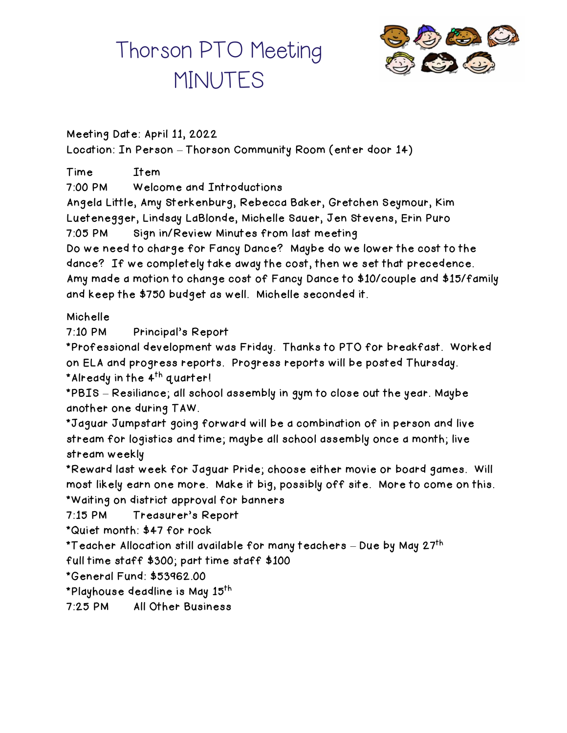# Thorson PTO Meeting **MINUTES**



Meeting Date: April 11, 2022 Location: In Person – Thorson Community Room (enter door 14)

Time Item 7:00 PM Welcome and Introductions Angela Little, Amy Sterkenburg, Rebecca Baker, Gretchen Seymour, Kim Luetenegger, Lindsay LaBlonde, Michelle Sauer, Jen Stevens, Erin Puro 7:05 PM Sign in/Review Minutes from last meeting Do we need to charge for Fancy Dance? Maybe do we lower the cost to the dance? If we completely take away the cost, then we set that precedence. Amy made a motion to change cost of Fancy Dance to \$10/couple and \$15/family and keep the \$750 budget as well. Michelle seconded it. Michelle 7:10 PM Principal's Report \*Professional development was Friday. Thanks to PTO for breakfast. Worked on ELA and progress reports. Progress reports will be posted Thursday. \*Already in the 4<sup>th</sup> quarter! \*PBIS – Resiliance; all school assembly in gym to close out the year. Maybe another one during TAW. \*Jaguar Jumpstart going forward will be a combination of in person and live stream for logistics and time; maybe all school assembly once a month; live stream weekly \*Reward last week for Jaguar Pride; choose either movie or board games. Will most likely earn one more. Make it big, possibly off site. More to come on this. \*Waiting on district approval for banners 7:15 PM Treasurer's Report \*Quiet month: \$47 for rock \*Teacher Allocation still available for many teachers – Due by May 27<sup>th</sup> full time staff \$300; part time staff \$100 \*General Fund: \$53962.00 \*Playhouse deadline is May 15th

7:25 PM All Other Business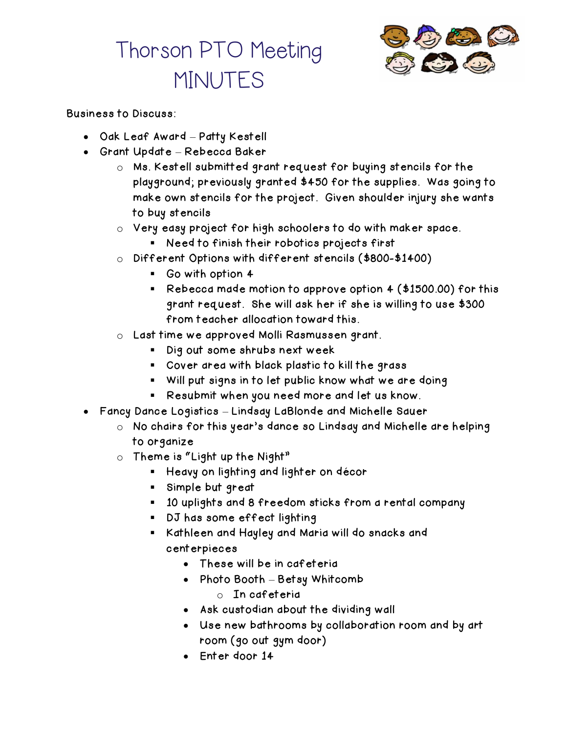# Thorson PTO Meeting MINUTES



### Business to Discuss:

- Oak Leaf Award Patty Kestell
- Grant Update Rebecca Baker
	- o Ms. Kestell submitted grant request for buying stencils for the playground; previously granted \$450 for the supplies. Was going to make own stencils for the project. Given shoulder injury she wants to buy stencils
	- o Very easy project for high schoolers to do with maker space.
		- Need to finish their robotics projects first
	- o Different Options with different stencils (\$800-\$1400)
		- Go with option 4
		- Rebecca made motion to approve option 4 (\$1500.00) for this grant request. She will ask her if she is willing to use \$300 from teacher allocation toward this.
	- o Last time we approved Molli Rasmussen grant.
		- Dig out some shrubs next week
		- Cover area with black plastic to kill the grass
		- Will put signs in to let public know what we are doing
		- Resubmit when you need more and let us know.
- Fancy Dance Logistics Lindsay LaBlonde and Michelle Sauer
	- o No chairs for this year's dance so Lindsay and Michelle are helping to organize
	- $\circ$  Theme is "Light up the Night"
		- Heavy on lighting and lighter on décor
		- Simple but great
		- 10 uplights and 8 freedom sticks from a rental company
		- DJ has some effect lighting
		- Kathleen and Hayley and Maria will do snacks and centerpieces
			- These will be in cafeteria
			- Photo Booth Betsy Whitcomb
				- o In cafeteria
			- Ask custodian about the dividing wall
			- Use new bathrooms by collaboration room and by art room (go out gym door)
			- Enter door 14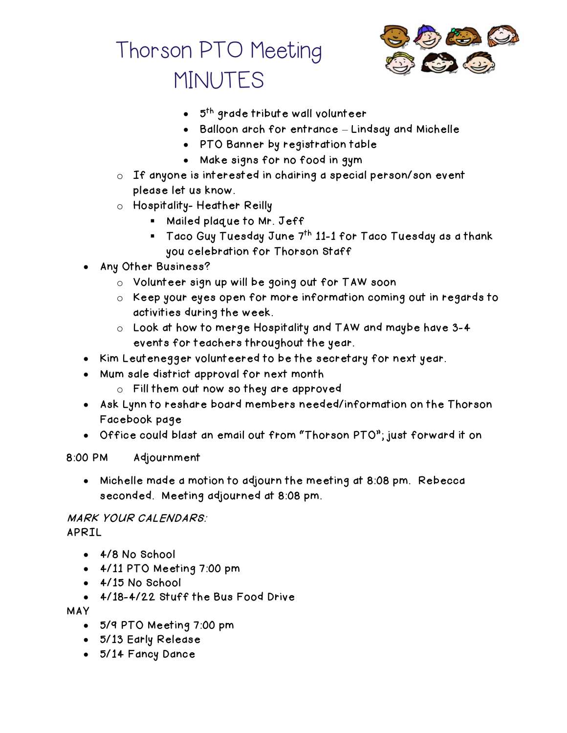



- $\bullet$  5<sup>th</sup> grade tribute wall volunteer
- Balloon arch for entrance Lindsay and Michelle
- PTO Banner by registration table
- Make signs for no food in gym
- o If anyone is interested in chairing a special person/son event please let us know.
- o Hospitality- Heather Reilly
	- Mailed plaque to Mr. Jeff
	- $\blacksquare$  Taco Guy Tuesday June 7<sup>th</sup> 11-1 for Taco Tuesday as a thank you celebration for Thorson Staff
- Any Other Business?
	- o Volunteer sign up will be going out for TAW soon
	- o Keep your eyes open for more information coming out in regards to activities during the week.
	- o Look at how to merge Hospitality and TAW and maybe have 3-4 events for teachers throughout the year.
- Kim Leutenegger volunteered to be the secretary for next year.
- Mum sale district approval for next month
	- o Fill them out now so they are approved
- Ask Lynn to reshare board members needed/information on the Thorson Facebook page
- Office could blast an email out from "Thorson PTO"; just forward it on

#### 8:00 PM Adjournment

• Michelle made a motion to adjourn the meeting at 8:08 pm. Rebecca seconded. Meeting adjourned at 8:08 pm.

### MARK YOUR CALENDARS: APRIL

- 4/8 No School
- 4/11 PTO Meeting 7:00 pm
- 4/15 No School
- 4/18-4/22 Stuff the Bus Food Drive

MAY

- 5/9 PTO Meeting 7:00 pm
- 5/13 Early Release
- 5/14 Fancy Dance